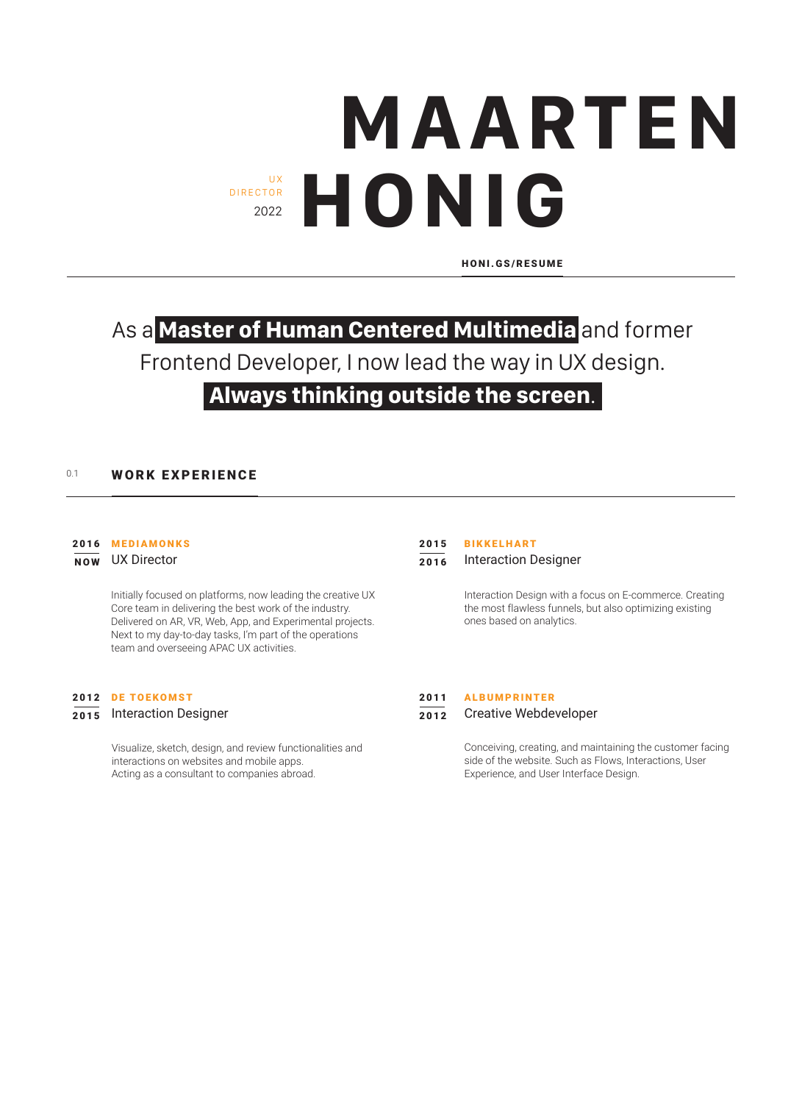# **MAARTEN HONIG** DIRECTOR 2022

HONI.GS/RESUME

## As a **Master of Human Centered Multimedia** and former Frontend Developer, I now lead the way in UX design.

## **Always thinking outside the screen**.

### 0.1 **WORK EXPERIENCE**

#### 2016 MEDIAMONKS

NOW UX Director

Initially focused on platforms, now leading the creative UX Core team in delivering the best work of the industry. Delivered on AR, VR, Web, App, and Experimental projects. Next to my day-to-day tasks, I'm part of the operations team and overseeing APAC UX activities.

#### 2012 DE TOEKOMST

#### 2015 Interaction Designer

Visualize, sketch, design, and review functionalities and interactions on websites and mobile apps. Acting as a consultant to companies abroad.

#### BIKKELHART 2015

2016 Interaction Designer

Interaction Design with a focus on E-commerce. Creating the most flawless funnels, but also optimizing existing ones based on analytics.

#### 2011 ALBUMPRINTER

#### 2012 Creative Webdeveloper

Conceiving, creating, and maintaining the customer facing side of the website. Such as Flows, Interactions, User Experience, and User Interface Design.